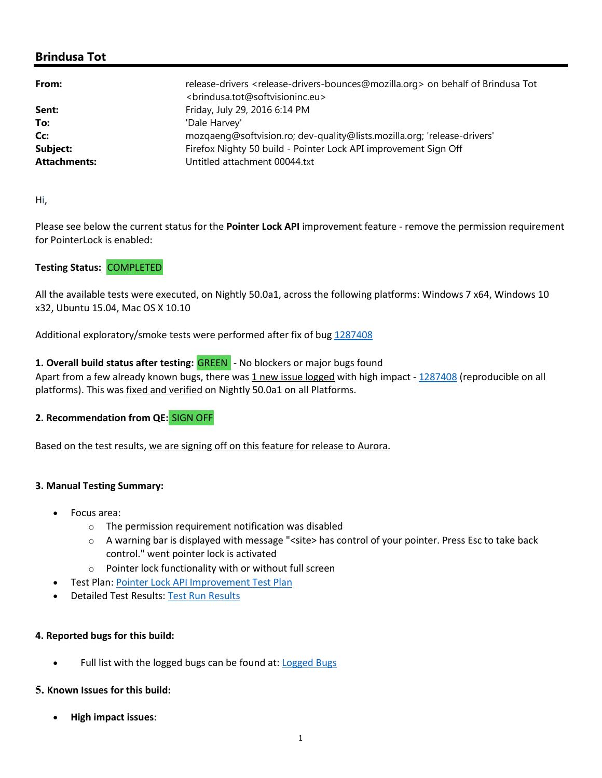# **Brindusa Tot**

| From:               | release-drivers <release-drivers-bounces@mozilla.org> on behalf of Brindusa Tot</release-drivers-bounces@mozilla.org> |
|---------------------|-----------------------------------------------------------------------------------------------------------------------|
|                     | <brindusa.tot@softvisioninc.eu></brindusa.tot@softvisioninc.eu>                                                       |
| Sent:               | Friday, July 29, 2016 6:14 PM                                                                                         |
| To:                 | 'Dale Harvey'                                                                                                         |
| Cc:                 | mozqaenq@softvision.ro; dev-quality@lists.mozilla.org; 'release-drivers'                                              |
| Subject:            | Firefox Nighty 50 build - Pointer Lock API improvement Sign Off                                                       |
| <b>Attachments:</b> | Untitled attachment 00044.txt                                                                                         |

Hi,

Please see below the current status for the **Pointer Lock API** improvement feature - remove the permission requirement for PointerLock is enabled:

# **Testing Status:** COMPLETED

All the available tests were executed, on Nightly 50.0a1, across the following platforms: Windows 7 x64, Windows 10 x32, Ubuntu 15.04, Mac OS X 10.10

Additional exploratory/smoke tests were performed after fix of bug 1287408

## **1. Overall build status after testing:** GREEN - No blockers or major bugs found

Apart from a few already known bugs, there was 1 new issue logged with high impact - 1287408 (reproducible on all platforms). This was fixed and verified on Nightly 50.0a1 on all Platforms.

# **2. Recommendation from QE:** SIGN OFF

Based on the test results, we are signing off on this feature for release to Aurora.

#### **3. Manual Testing Summary:**

- Focus area:
	- o The permission requirement notification was disabled
	- o A warning bar is displayed with message "<site> has control of your pointer. Press Esc to take back control." went pointer lock is activated
	- o Pointer lock functionality with or without full screen
- Test Plan: Pointer Lock API Improvement Test Plan
- Detailed Test Results: Test Run Results

#### **4. Reported bugs for this build:**

• Full list with the logged bugs can be found at: Logged Bugs

## **5. Known Issues for this build:**

**High impact issues**: